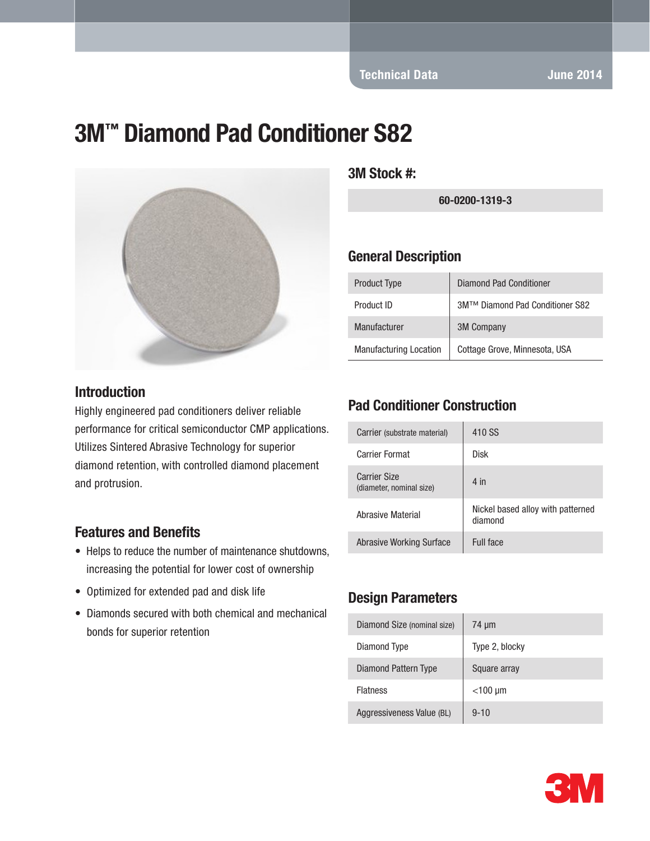Technical Data June 2014

# 3M™ Diamond Pad Conditioner S82



#### **Introduction**

Highly engineered pad conditioners deliver reliable performance for critical semiconductor CMP applications. Utilizes Sintered Abrasive Technology for superior diamond retention, with controlled diamond placement and protrusion.

#### Features and Benefits

- Helps to reduce the number of maintenance shutdowns, increasing the potential for lower cost of ownership
- Optimized for extended pad and disk life
- Diamonds secured with both chemical and mechanical bonds for superior retention

3M Stock #:

60-0200-1319-3

#### General Description

| <b>Product Type</b>           | Diamond Pad Conditioner         |
|-------------------------------|---------------------------------|
| Product ID                    | 3M™ Diamond Pad Conditioner S82 |
| Manufacturer                  | <b>3M Company</b>               |
| <b>Manufacturing Location</b> | Cottage Grove, Minnesota, USA   |

#### Pad Conditioner Construction

| Carrier (substrate material)                    | 410 SS                                       |
|-------------------------------------------------|----------------------------------------------|
| <b>Carrier Format</b>                           | Disk                                         |
| <b>Carrier Size</b><br>(diameter, nominal size) | $4$ in                                       |
| Abrasive Material                               | Nickel based alloy with patterned<br>diamond |
| Abrasive Working Surface                        | Full face                                    |

#### Design Parameters

| Diamond Size (nominal size) | 74 um          |
|-----------------------------|----------------|
| Diamond Type                | Type 2, blocky |
| Diamond Pattern Type        | Square array   |
| <b>Flatness</b>             | $<$ 100 µm     |
| Aggressiveness Value (BL)   | $9 - 10$       |